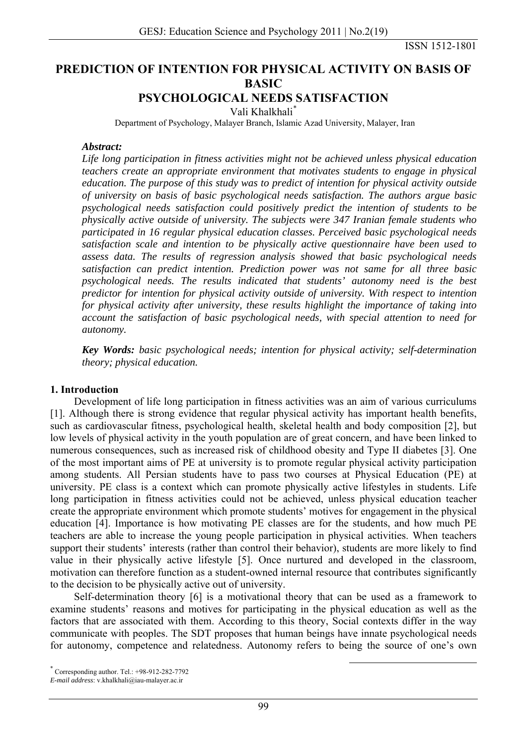ISSN 1512-1801

# **PREDICTION OF INTENTION FOR PHYSICAL ACTIVITY ON BASIS OF BASIC**

#### **PSYCHOLOGICAL NEEDS SATISFACTION**

Vali Khalkhali[\\*](#page-0-0) 

Department of Psychology, Malayer Branch, Islamic Azad University, Malayer, Iran

#### *Abstract:*

*Life long participation in fitness activities might not be achieved unless physical education teachers create an appropriate environment that motivates students to engage in physical education. The purpose of this study was to predict of intention for physical activity outside of university on basis of basic psychological needs satisfaction. The authors argue basic psychological needs satisfaction could positively predict the intention of students to be physically active outside of university. The subjects were 347 Iranian female students who participated in 16 regular physical education classes. Perceived basic psychological needs satisfaction scale and intention to be physically active questionnaire have been used to assess data. The results of regression analysis showed that basic psychological needs satisfaction can predict intention. Prediction power was not same for all three basic psychological needs. The results indicated that students' autonomy need is the best predictor for intention for physical activity outside of university. With respect to intention for physical activity after university, these results highlight the importance of taking into account the satisfaction of basic psychological needs, with special attention to need for autonomy.* 

*Key Words: basic psychological needs; intention for physical activity; self-determination theory; physical education.* 

#### **1. Introduction**

Development of life long participation in fitness activities was an aim of various curriculums [1]. Although there is strong evidence that regular physical activity has important health benefits, such as cardiovascular fitness, psychological health, skeletal health and body composition [2], but low levels of physical activity in the youth population are of great concern, and have been linked to numerous consequences, such as increased risk of childhood obesity and Type II diabetes [3]. One of the most important aims of PE at university is to promote regular physical activity participation among students. All Persian students have to pass two courses at Physical Education (PE) at university. PE class is a context which can promote physically active lifestyles in students. Life long participation in fitness activities could not be achieved, unless physical education teacher create the appropriate environment which promote students' motives for engagement in the physical education [4]. Importance is how motivating PE classes are for the students, and how much PE teachers are able to increase the young people participation in physical activities. When teachers support their students' interests (rather than control their behavior), students are more likely to find value in their physically active lifestyle [5]. Once nurtured and developed in the classroom, motivation can therefore function as a student-owned internal resource that contributes significantly to the decision to be physically active out of university.

Self-determination theory [6] is a motivational theory that can be used as a framework to examine students' reasons and motives for participating in the physical education as well as the factors that are associated with them. According to this theory, Social contexts differ in the way communicate with peoples. The SDT proposes that human beings have innate psychological needs for autonomy, competence and relatedness. Autonomy refers to being the source of one's own

 <sup>\*</sup> Corresponding author. Tel.: +98-912-282-7792

<span id="page-0-0"></span>*E-mail address*: v.khalkhali@iau-malayer.ac.ir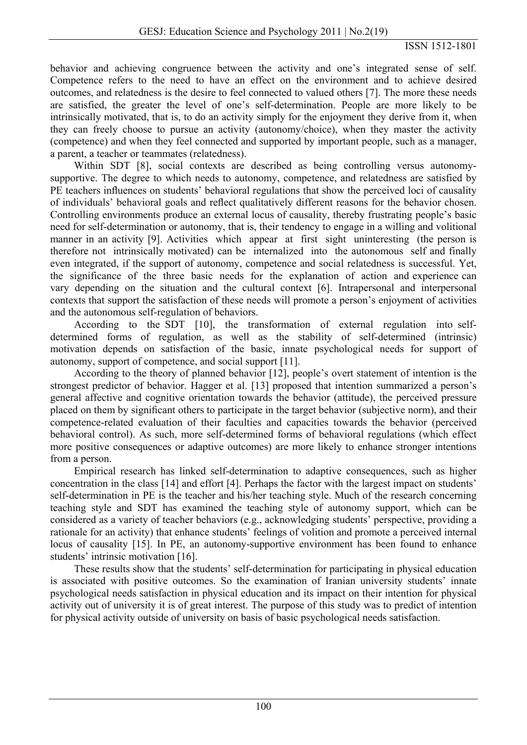behavior and achieving congruence between the activity and one's integrated sense of self. Competence refers to the need to have an effect on the environment and to achieve desired outcomes, and relatedness is the desire to feel connected to valued others [7]. The more these needs are satisfied, the greater the level of one's self-determination. People are more likely to be intrinsically motivated, that is, to do an activity simply for the enjoyment they derive from it, when they can freely choose to pursue an activity (autonomy/choice), when they master the activity (competence) and when they feel connected and supported by important people, such as a manager, a parent, a teacher or teammates (relatedness).

Within SDT [8], social contexts are described as being controlling versus autonomysupportive. The degree to which needs to autonomy, competence, and relatedness are satisfied by PE teachers influences on students' behavioral regulations that show the perceived loci of causality of individuals' behavioral goals and reflect qualitatively different reasons for the behavior chosen. Controlling environments produce an external locus of causality, thereby frustrating people's basic need for self-determination or autonomy, that is, their tendency to engage in a willing and volitional manner in an activity [9]. Activities which appear at first sight uninteresting (the person is therefore not intrinsically motivated) can be internalized into the autonomous self and finally even integrated, if the support of autonomy, competence and social relatedness is successful. Yet, the significance of the three basic needs for the explanation of action and experience can vary depending on the situation and the cultural context [6]. Intrapersonal and interpersonal contexts that support the satisfaction of these needs will promote a person's enjoyment of activities and the autonomous self-regulation of behaviors.

According to the SDT [10], the transformation of external regulation into selfdetermined forms of regulation, as well as the stability of self-determined (intrinsic) motivation depends on satisfaction of the basic, innate psychological needs for support of autonomy, support of competence, and social support [11].

According to the theory of planned behavior [12], people's overt statement of intention is the strongest predictor of behavior. Hagger et al. [13] proposed that intention summarized a person's general affective and cognitive orientation towards the behavior (attitude), the perceived pressure placed on them by significant others to participate in the target behavior (subjective norm), and their competence-related evaluation of their faculties and capacities towards the behavior (perceived behavioral control). As such, more self-determined forms of behavioral regulations (which effect more positive consequences or adaptive outcomes) are more likely to enhance stronger intentions from a person.

Empirical research has linked self-determination to adaptive consequences, such as higher concentration in the class [14] and effort [4]. Perhaps the factor with the largest impact on students' self-determination in PE is the teacher and his/her teaching style. Much of the research concerning teaching style and SDT has examined the teaching style of autonomy support, which can be considered as a variety of teacher behaviors (e.g., acknowledging students' perspective, providing a rationale for an activity) that enhance students' feelings of volition and promote a perceived internal locus of causality [15]. In PE, an autonomy-supportive environment has been found to enhance students' intrinsic motivation [16].

These results show that the students' self-determination for participating in physical education is associated with positive outcomes. So the examination of Iranian university students' innate psychological needs satisfaction in physical education and its impact on their intention for physical activity out of university it is of great interest. The purpose of this study was to predict of intention for physical activity outside of university on basis of basic psychological needs satisfaction.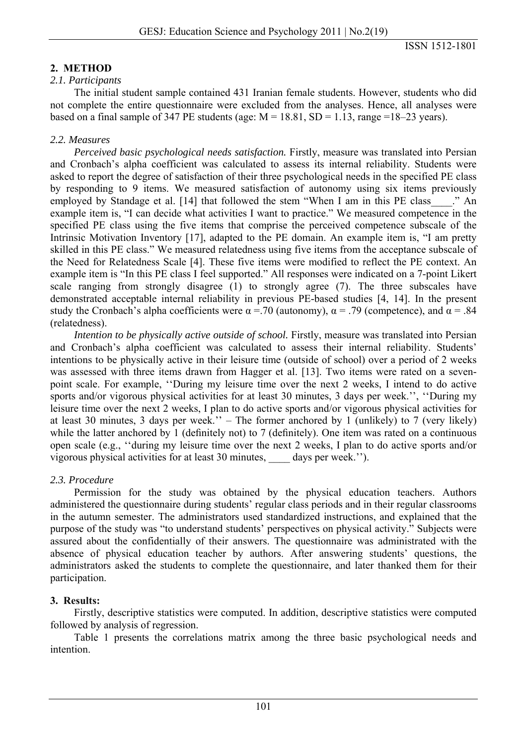# **2. METHOD**

### *2.1. Participants*

The initial student sample contained 431 Iranian female students. However, students who did not complete the entire questionnaire were excluded from the analyses. Hence, all analyses were based on a final sample of 347 PE students (age:  $M = 18.81$ ,  $SD = 1.13$ , range =18–23 years).

# *2.2. Measures*

*Perceived basic psychological needs satisfaction.* Firstly, measure was translated into Persian and Cronbach's alpha coefficient was calculated to assess its internal reliability. Students were asked to report the degree of satisfaction of their three psychological needs in the specified PE class by responding to 9 items. We measured satisfaction of autonomy using six items previously employed by Standage et al. [14] that followed the stem "When I am in this PE class ..." An example item is, "I can decide what activities I want to practice." We measured competence in the specified PE class using the five items that comprise the perceived competence subscale of the Intrinsic Motivation Inventory [17], adapted to the PE domain. An example item is, "I am pretty skilled in this PE class." We measured relatedness using five items from the acceptance subscale of the Need for Relatedness Scale [4]. These five items were modified to reflect the PE context. An example item is "In this PE class I feel supported." All responses were indicated on a 7-point Likert scale ranging from strongly disagree (1) to strongly agree (7). The three subscales have demonstrated acceptable internal reliability in previous PE-based studies [4, 14]. In the present study the Cronbach's alpha coefficients were  $\alpha = 0.70$  (autonomy),  $\alpha = 0.79$  (competence), and  $\alpha = 0.84$ (relatedness).

*Intention to be physically active outside of school.* Firstly, measure was translated into Persian and Cronbach's alpha coefficient was calculated to assess their internal reliability. Students' intentions to be physically active in their leisure time (outside of school) over a period of 2 weeks was assessed with three items drawn from Hagger et al. [13]. Two items were rated on a sevenpoint scale. For example, ''During my leisure time over the next 2 weeks, I intend to do active sports and/or vigorous physical activities for at least 30 minutes, 3 days per week.'', ''During my leisure time over the next 2 weeks, I plan to do active sports and/or vigorous physical activities for at least 30 minutes, 3 days per week.'' – The former anchored by 1 (unlikely) to 7 (very likely) while the latter anchored by 1 (definitely not) to 7 (definitely). One item was rated on a continuous open scale (e.g., ''during my leisure time over the next 2 weeks, I plan to do active sports and/or vigorous physical activities for at least 30 minutes, \_\_\_\_ days per week.'').

# *2.3. Procedure*

Permission for the study was obtained by the physical education teachers. Authors administered the questionnaire during students' regular class periods and in their regular classrooms in the autumn semester. The administrators used standardized instructions, and explained that the purpose of the study was "to understand students' perspectives on physical activity." Subjects were assured about the confidentially of their answers. The questionnaire was administrated with the absence of physical education teacher by authors. After answering students' questions, the administrators asked the students to complete the questionnaire, and later thanked them for their participation.

# **3. Results:**

Firstly, descriptive statistics were computed. In addition, descriptive statistics were computed followed by analysis of regression.

Table 1 presents the correlations matrix among the three basic psychological needs and intention.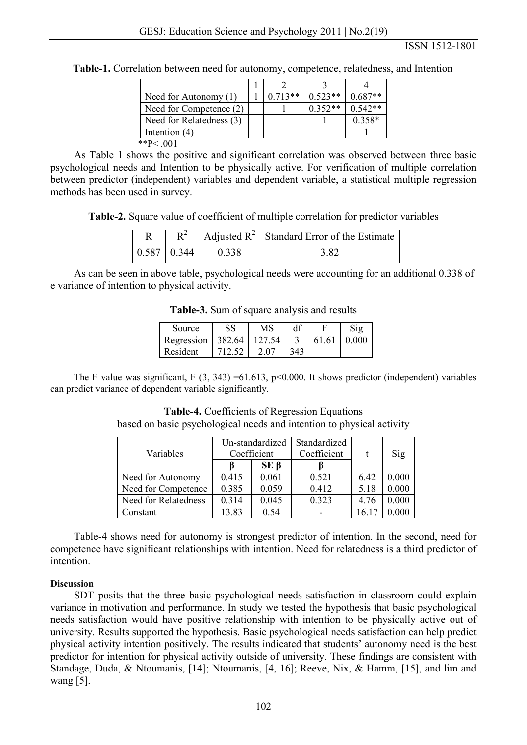| Need for Autonomy (1)    | $0.713**$ | $0.523**$ | $0.687**$ |
|--------------------------|-----------|-----------|-----------|
| Need for Competence (2)  |           | $0.352**$ | $0.542**$ |
| Need for Relatedness (3) |           |           | $0.358*$  |
| Intention $(4)$          |           |           |           |
| **P< $001$               |           |           |           |

**Table-1.** Correlation between need for autonomy, competence, relatedness, and Intention

As Table 1 shows the positive and significant correlation was observed between three basic psychological needs and Intention to be physically active. For verification of multiple correlation between predictor (independent) variables and dependent variable, a statistical multiple regression methods has been used in survey.

**Table-2.** Square value of coefficient of multiple correlation for predictor variables

|                         |       | $R^2$   Adjusted R <sup>2</sup>   Standard Error of the Estimate |
|-------------------------|-------|------------------------------------------------------------------|
| $\mid 0.587 \mid 0.344$ | 0.338 | 3 X.                                                             |

As can be seen in above table, psychological needs were accounting for an additional 0.338 of e variance of intention to physical activity.

| Source     |        | MS     | df  |       |           |
|------------|--------|--------|-----|-------|-----------|
| Regression | 382.64 | 127.54 |     | 61.61 | $0.000\,$ |
| Resident   |        |        | 343 |       |           |

**Table-3.** Sum of square analysis and results

The F value was significant, F  $(3, 343) = 61.613$ , p<0.000. It shows predictor (independent) variables can predict variance of dependent variable significantly.

**Table-4.** Coefficients of Regression Equations based on basic psychological needs and intention to physical activity

| Variables            | Un-standardized<br>Coefficient |            | Standardized<br>Coefficient |                | Sig   |
|----------------------|--------------------------------|------------|-----------------------------|----------------|-------|
|                      |                                | $SE \beta$ |                             |                |       |
| Need for Autonomy    | 0.415                          | 0.061      | 0.521                       | 6.42           | 0.000 |
| Need for Competence  | 0.385                          | 0.059      | 0.412                       | 5.18           | 0.000 |
| Need for Relatedness | 0.314                          | 0.045      | 0.323                       | 4.76           | 0.000 |
| Constant             | 13.83                          | 0.54       |                             | $16.1^{\circ}$ |       |

Table-4 shows need for autonomy is strongest predictor of intention. In the second, need for competence have significant relationships with intention. Need for relatedness is a third predictor of intention.

#### **Discussion**

SDT posits that the three basic psychological needs satisfaction in classroom could explain variance in motivation and performance. In study we tested the hypothesis that basic psychological needs satisfaction would have positive relationship with intention to be physically active out of university. Results supported the hypothesis. Basic psychological needs satisfaction can help predict physical activity intention positively. The results indicated that students' autonomy need is the best predictor for intention for physical activity outside of university. These findings are consistent with Standage, Duda, & Ntoumanis, [14]; Ntoumanis, [4, 16]; Reeve, Nix, & Hamm, [15], and lim and wang [5].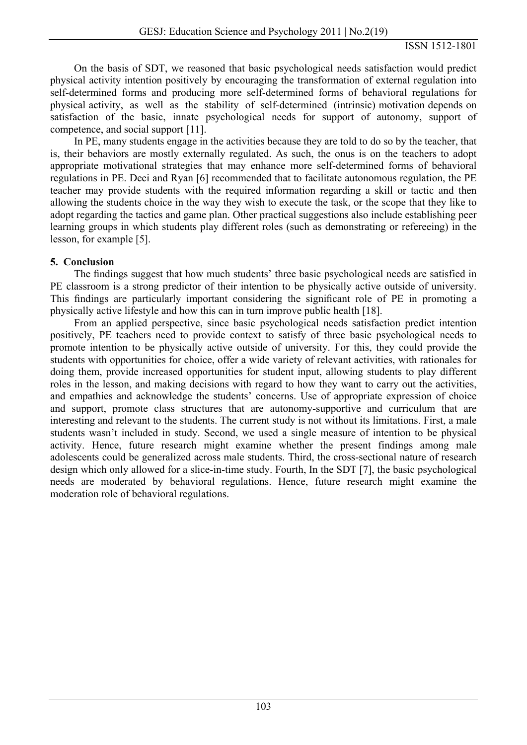On the basis of SDT, we reasoned that basic psychological needs satisfaction would predict physical activity intention positively by encouraging the transformation of external regulation into self-determined forms and producing more self-determined forms of behavioral regulations for physical activity, as well as the stability of self-determined (intrinsic) motivation depends on satisfaction of the basic, innate psychological needs for support of autonomy, support of competence, and social support [11].

In PE, many students engage in the activities because they are told to do so by the teacher, that is, their behaviors are mostly externally regulated. As such, the onus is on the teachers to adopt appropriate motivational strategies that may enhance more self-determined forms of behavioral regulations in PE. Deci and Ryan [6] recommended that to facilitate autonomous regulation, the PE teacher may provide students with the required information regarding a skill or tactic and then allowing the students choice in the way they wish to execute the task, or the scope that they like to adopt regarding the tactics and game plan. Other practical suggestions also include establishing peer learning groups in which students play different roles (such as demonstrating or refereeing) in the lesson, for example [5].

### **5. Conclusion**

The findings suggest that how much students' three basic psychological needs are satisfied in PE classroom is a strong predictor of their intention to be physically active outside of university. This findings are particularly important considering the significant role of PE in promoting a physically active lifestyle and how this can in turn improve public health [18].

From an applied perspective, since basic psychological needs satisfaction predict intention positively, PE teachers need to provide context to satisfy of three basic psychological needs to promote intention to be physically active outside of university. For this, they could provide the students with opportunities for choice, offer a wide variety of relevant activities, with rationales for doing them, provide increased opportunities for student input, allowing students to play different roles in the lesson, and making decisions with regard to how they want to carry out the activities, and empathies and acknowledge the students' concerns. Use of appropriate expression of choice and support, promote class structures that are autonomy-supportive and curriculum that are interesting and relevant to the students. The current study is not without its limitations. First, a male students wasn't included in study. Second, we used a single measure of intention to be physical activity. Hence, future research might examine whether the present findings among male adolescents could be generalized across male students. Third, the cross-sectional nature of research design which only allowed for a slice-in-time study. Fourth, In the SDT [7], the basic psychological needs are moderated by behavioral regulations. Hence, future research might examine the moderation role of behavioral regulations.